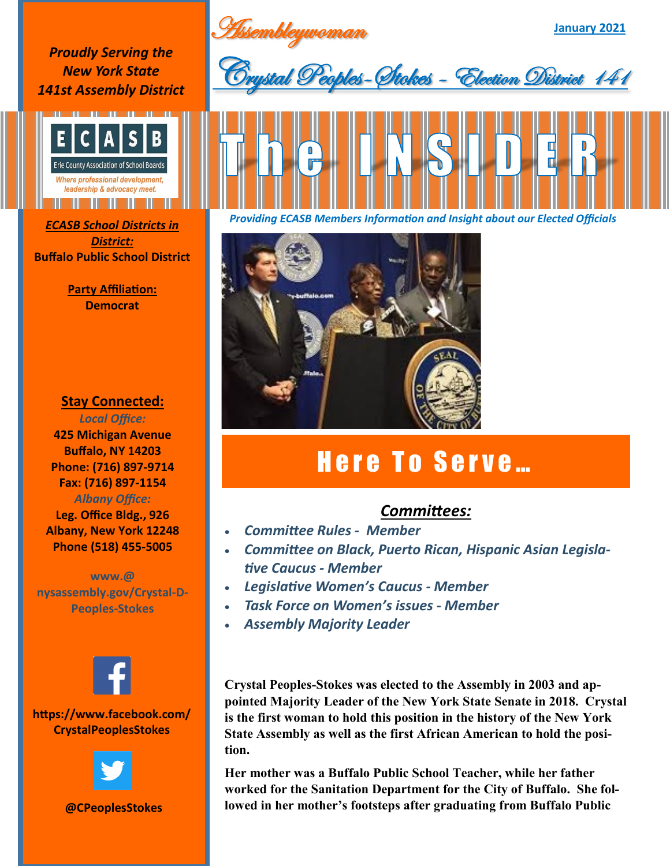**January 2021** Assembleywoman

*Proudly Serving the New York State 141st Assembly District*



*District:* **Buffalo Public School District**

> **Party Affiliation: Democrat**

## **Stay Connected:**

*Local Office:* **425 Michigan Avenue Buffalo, NY 14203 Phone: (716) 897-9714 Fax: (716) 897-1154** *Albany Office:*  **Leg. Office Bldg., 926 Albany, New York 12248**

**Phone (518) 455-5005**

**www.@ nysassembly.gov/Crystal-D-Peoples-Stokes**



## **https://www.facebook.com/ CrystalPeoplesStokes**



**@CPeoplesStokes**





*Providing ECASB Members Information and Insight about our Elected Officials ECASB School Districts in* 



## Here To Serve...

## *Committees:*

- *Committee Rules - Member*
- *Committee on Black, Puerto Rican, Hispanic Asian Legislative Caucus - Member*
- *Legislative Women's Caucus - Member*
- *Task Force on Women's issues - Member*
- *Assembly Majority Leader*

**Crystal Peoples-Stokes was elected to the Assembly in 2003 and appointed Majority Leader of the New York State Senate in 2018. Crystal is the first woman to hold this position in the history of the New York State Assembly as well as the first African American to hold the position.** 

**Her mother was a Buffalo Public School Teacher, while her father worked for the Sanitation Department for the City of Buffalo. She followed in her mother's footsteps after graduating from Buffalo Public**